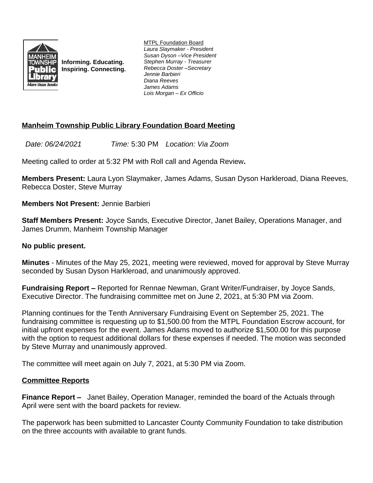

**Informing. Educating. Inspiring. Connecting.** MTPL Foundation Board *Laura Slaymaker - President Susan Dyson –Vice President Stephen Murray - Treasurer Rebecca Doster –Secretary Jennie Barbieri Diana Reeves James Adams Lois Morgan – Ex Officio*

# **Manheim Township Public Library Foundation Board Meeting**

*Date: 06/24/2021 Time:* 5:30 PM *Location: Via Zoom*

Meeting called to order at 5:32 PM with Roll call and Agenda Review**.**

**Members Present:** Laura Lyon Slaymaker, James Adams, Susan Dyson Harkleroad, Diana Reeves, Rebecca Doster, Steve Murray

**Members Not Present:** Jennie Barbieri

**Staff Members Present:** Joyce Sands, Executive Director, Janet Bailey, Operations Manager, and James Drumm, Manheim Township Manager

#### **No public present.**

**Minutes** - Minutes of the May 25, 2021, meeting were reviewed, moved for approval by Steve Murray seconded by Susan Dyson Harkleroad, and unanimously approved.

**Fundraising Report –** Reported for Rennae Newman, Grant Writer/Fundraiser, by Joyce Sands, Executive Director. The fundraising committee met on June 2, 2021, at 5:30 PM via Zoom.

Planning continues for the Tenth Anniversary Fundraising Event on September 25, 2021. The fundraising committee is requesting up to \$1,500.00 from the MTPL Foundation Escrow account, for initial upfront expenses for the event. James Adams moved to authorize \$1,500.00 for this purpose with the option to request additional dollars for these expenses if needed. The motion was seconded by Steve Murray and unanimously approved.

The committee will meet again on July 7, 2021, at 5:30 PM via Zoom.

### **Committee Reports**

**Finance Report –** Janet Bailey, Operation Manager, reminded the board of the Actuals through April were sent with the board packets for review.

The paperwork has been submitted to Lancaster County Community Foundation to take distribution on the three accounts with available to grant funds.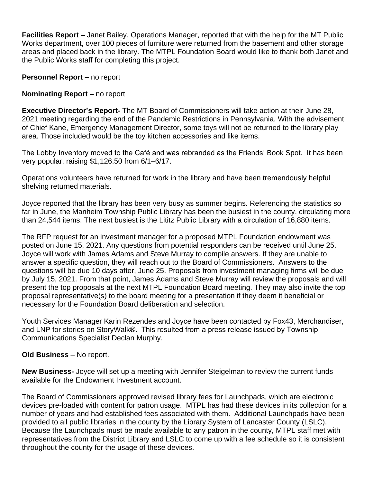**Facilities Report –** Janet Bailey, Operations Manager, reported that with the help for the MT Public Works department, over 100 pieces of furniture were returned from the basement and other storage areas and placed back in the library. The MTPL Foundation Board would like to thank both Janet and the Public Works staff for completing this project.

**Personnel Report – no report** 

## **Nominating Report – no report**

**Executive Director's Report-** The MT Board of Commissioners will take action at their June 28, 2021 meeting regarding the end of the Pandemic Restrictions in Pennsylvania. With the advisement of Chief Kane, Emergency Management Director, some toys will not be returned to the library play area. Those included would be the toy kitchen accessories and like items.

The Lobby Inventory moved to the Café and was rebranded as the Friends' Book Spot. It has been very popular, raising \$1,126.50 from 6/1–6/17.

Operations volunteers have returned for work in the library and have been tremendously helpful shelving returned materials.

Joyce reported that the library has been very busy as summer begins. Referencing the statistics so far in June, the Manheim Township Public Library has been the busiest in the county, circulating more than 24,544 items. The next busiest is the Lititz Public Library with a circulation of 16,880 items.

The RFP request for an investment manager for a proposed MTPL Foundation endowment was posted on June 15, 2021. Any questions from potential responders can be received until June 25. Joyce will work with James Adams and Steve Murray to compile answers. If they are unable to answer a specific question, they will reach out to the Board of Commissioners. Answers to the questions will be due 10 days after, June 25. Proposals from investment managing firms will be due by July 15, 2021. From that point, James Adams and Steve Murray will review the proposals and will present the top proposals at the next MTPL Foundation Board meeting. They may also invite the top proposal representative(s) to the board meeting for a presentation if they deem it beneficial or necessary for the Foundation Board deliberation and selection.

Youth Services Manager Karin Rezendes and Joyce have been contacted by Fox43, Merchandiser, and LNP for stories on StoryWalk®. This resulted from a press release issued by Township Communications Specialist Declan Murphy.

### **Old Business** – No report.

**New Business-** Joyce will set up a meeting with Jennifer Steigelman to review the current funds available for the Endowment Investment account.

The Board of Commissioners approved revised library fees for Launchpads, which are electronic devices pre-loaded with content for patron usage. MTPL has had these devices in its collection for a number of years and had established fees associated with them. Additional Launchpads have been provided to all public libraries in the county by the Library System of Lancaster County (LSLC). Because the Launchpads must be made available to any patron in the county, MTPL staff met with representatives from the District Library and LSLC to come up with a fee schedule so it is consistent throughout the county for the usage of these devices.